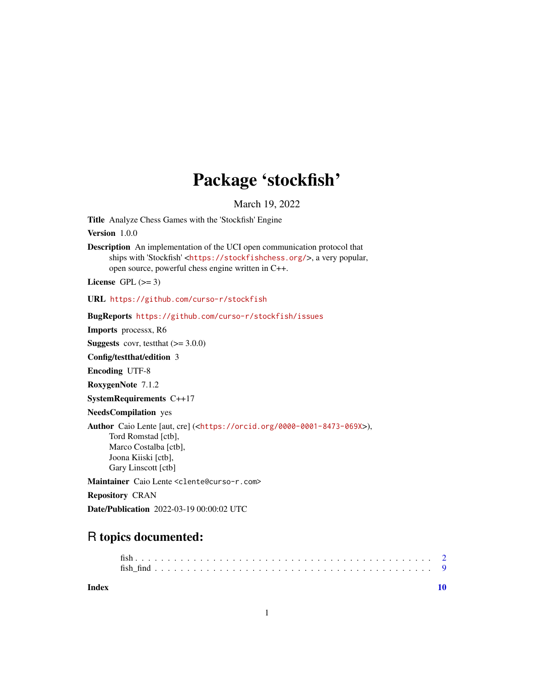## Package 'stockfish'

March 19, 2022

Title Analyze Chess Games with the 'Stockfish' Engine

Version 1.0.0

Description An implementation of the UCI open communication protocol that ships with 'Stockfish' <<https://stockfishchess.org/>>, a very popular, open source, powerful chess engine written in C++.

License GPL  $(>= 3)$ 

URL <https://github.com/curso-r/stockfish>

BugReports <https://github.com/curso-r/stockfish/issues>

Imports processx, R6

**Suggests** covr, test that  $(>= 3.0.0)$ 

Config/testthat/edition 3

Encoding UTF-8

RoxygenNote 7.1.2

SystemRequirements C++17

NeedsCompilation yes

Author Caio Lente [aut, cre] (<<https://orcid.org/0000-0001-8473-069X>>),

Tord Romstad [ctb], Marco Costalba [ctb], Joona Kiiski [ctb], Gary Linscott [ctb]

Maintainer Caio Lente <clente@curso-r.com>

Repository CRAN

Date/Publication 2022-03-19 00:00:02 UTC

### R topics documented:

 $\blacksquare$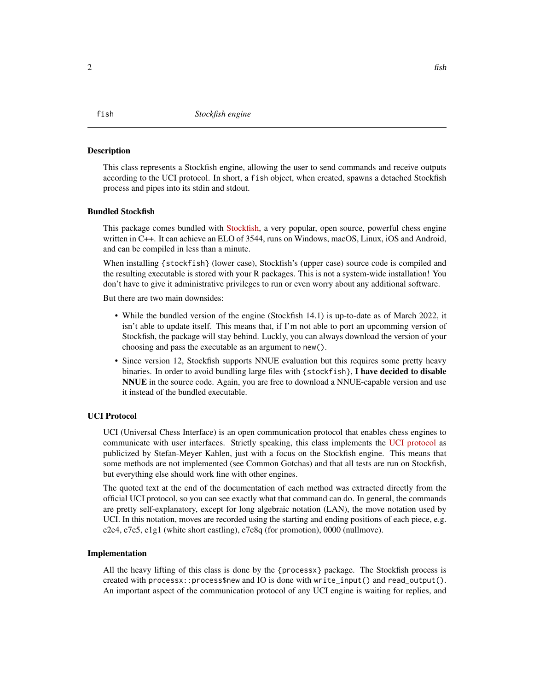#### <span id="page-1-0"></span>Description

This class represents a Stockfish engine, allowing the user to send commands and receive outputs according to the UCI protocol. In short, a fish object, when created, spawns a detached Stockfish process and pipes into its stdin and stdout.

#### Bundled Stockfish

This package comes bundled with [Stockfish,](https://github.com/official-stockfish/Stockfish) a very popular, open source, powerful chess engine written in C++. It can achieve an ELO of 3544, runs on Windows, macOS, Linux, iOS and Android, and can be compiled in less than a minute.

When installing {stockfish} (lower case), Stockfish's (upper case) source code is compiled and the resulting executable is stored with your R packages. This is not a system-wide installation! You don't have to give it administrative privileges to run or even worry about any additional software.

But there are two main downsides:

- While the bundled version of the engine (Stockfish 14.1) is up-to-date as of March 2022, it isn't able to update itself. This means that, if I'm not able to port an upcomming version of Stockfish, the package will stay behind. Luckly, you can always download the version of your choosing and pass the executable as an argument to new().
- Since version 12, Stockfish supports NNUE evaluation but this requires some pretty heavy binaries. In order to avoid bundling large files with {stockfish}, I have decided to disable NNUE in the source code. Again, you are free to download a NNUE-capable version and use it instead of the bundled executable.

#### UCI Protocol

UCI (Universal Chess Interface) is an open communication protocol that enables chess engines to communicate with user interfaces. Strictly speaking, this class implements the [UCI protocol](http://wbec-ridderkerk.nl/html/UCIProtocol.html) as publicized by Stefan-Meyer Kahlen, just with a focus on the Stockfish engine. This means that some methods are not implemented (see Common Gotchas) and that all tests are run on Stockfish, but everything else should work fine with other engines.

The quoted text at the end of the documentation of each method was extracted directly from the official UCI protocol, so you can see exactly what that command can do. In general, the commands are pretty self-explanatory, except for long algebraic notation (LAN), the move notation used by UCI. In this notation, moves are recorded using the starting and ending positions of each piece, e.g. e2e4, e7e5, e1g1 (white short castling), e7e8q (for promotion), 0000 (nullmove).

#### Implementation

All the heavy lifting of this class is done by the {processx} package. The Stockfish process is created with processx::process\$new and IO is done with write\_input() and read\_output(). An important aspect of the communication protocol of any UCI engine is waiting for replies, and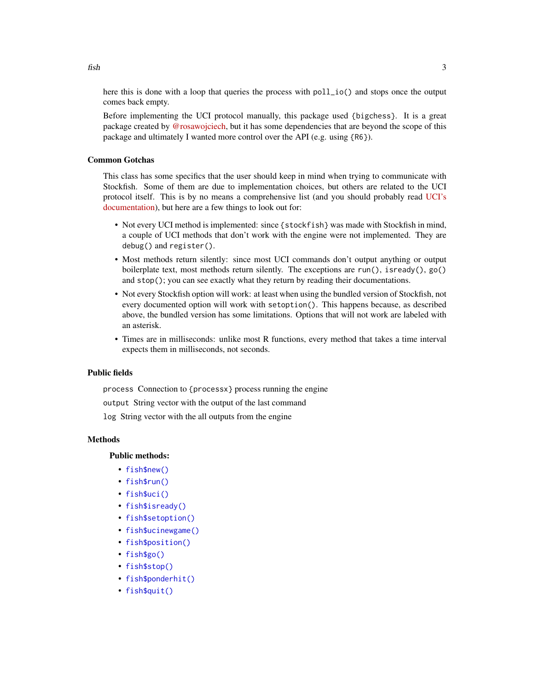here this is done with a loop that queries the process with poll\_io() and stops once the output comes back empty.

Before implementing the UCI protocol manually, this package used {bigchess}. It is a great package created by [@rosawojciech,](https://github.com/rosawojciech) but it has some dependencies that are beyond the scope of this package and ultimately I wanted more control over the API (e.g. using {R6}).

#### Common Gotchas

This class has some specifics that the user should keep in mind when trying to communicate with Stockfish. Some of them are due to implementation choices, but others are related to the UCI protocol itself. This is by no means a comprehensive list (and you should probably read [UCI's](http://wbec-ridderkerk.nl/html/UCIProtocol.html) [documentation\)](http://wbec-ridderkerk.nl/html/UCIProtocol.html), but here are a few things to look out for:

- Not every UCI method is implemented: since {stockfish} was made with Stockfish in mind, a couple of UCI methods that don't work with the engine were not implemented. They are debug() and register().
- Most methods return silently: since most UCI commands don't output anything or output boilerplate text, most methods return silently. The exceptions are  $run()$ , isready $()$ , go $()$ and stop(); you can see exactly what they return by reading their documentations.
- Not every Stockfish option will work: at least when using the bundled version of Stockfish, not every documented option will work with setoption(). This happens because, as described above, the bundled version has some limitations. Options that will not work are labeled with an asterisk.
- Times are in milliseconds: unlike most R functions, every method that takes a time interval expects them in milliseconds, not seconds.

#### Public fields

process Connection to {processx} process running the engine

output String vector with the output of the last command

log String vector with the all outputs from the engine

#### Methods

#### Public methods:

- [fish\\$new\(\)](#page-3-0)
- [fish\\$run\(\)](#page-3-1)
- [fish\\$uci\(\)](#page-3-2)
- [fish\\$isready\(\)](#page-3-3)
- [fish\\$setoption\(\)](#page-4-0)
- [fish\\$ucinewgame\(\)](#page-5-0)
- [fish\\$position\(\)](#page-5-1)
- [fish\\$go\(\)](#page-6-0)
- [fish\\$stop\(\)](#page-7-0)
- [fish\\$ponderhit\(\)](#page-7-1)
- [fish\\$quit\(\)](#page-7-2)

 $fish$  3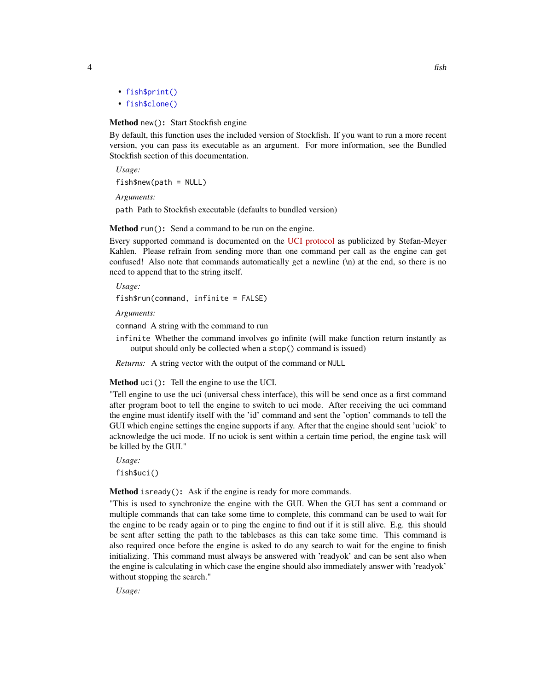- [fish\\$print\(\)](#page-7-3)
- [fish\\$clone\(\)](#page-7-4)

#### <span id="page-3-0"></span>Method new(): Start Stockfish engine

By default, this function uses the included version of Stockfish. If you want to run a more recent version, you can pass its executable as an argument. For more information, see the Bundled Stockfish section of this documentation.

*Usage:*  $fish$new(path = NULL)$ 

*Arguments:*

path Path to Stockfish executable (defaults to bundled version)

#### <span id="page-3-1"></span>Method run(): Send a command to be run on the engine.

Every supported command is documented on the [UCI protocol](http://wbec-ridderkerk.nl/html/UCIProtocol.html) as publicized by Stefan-Meyer Kahlen. Please refrain from sending more than one command per call as the engine can get confused! Also note that commands automatically get a newline (\n) at the end, so there is no need to append that to the string itself.

*Usage:*

fish\$run(command, infinite = FALSE)

*Arguments:*

command A string with the command to run

infinite Whether the command involves go infinite (will make function return instantly as output should only be collected when a stop() command is issued)

*Returns:* A string vector with the output of the command or NULL

<span id="page-3-2"></span>Method uci(): Tell the engine to use the UCI.

"Tell engine to use the uci (universal chess interface), this will be send once as a first command after program boot to tell the engine to switch to uci mode. After receiving the uci command the engine must identify itself with the 'id' command and sent the 'option' commands to tell the GUI which engine settings the engine supports if any. After that the engine should sent 'uciok' to acknowledge the uci mode. If no uciok is sent within a certain time period, the engine task will be killed by the GUI."

*Usage:* fish\$uci()

<span id="page-3-3"></span>Method isready(): Ask if the engine is ready for more commands.

"This is used to synchronize the engine with the GUI. When the GUI has sent a command or multiple commands that can take some time to complete, this command can be used to wait for the engine to be ready again or to ping the engine to find out if it is still alive. E.g. this should be sent after setting the path to the tablebases as this can take some time. This command is also required once before the engine is asked to do any search to wait for the engine to finish initializing. This command must always be answered with 'readyok' and can be sent also when the engine is calculating in which case the engine should also immediately answer with 'readyok' without stopping the search."

*Usage:*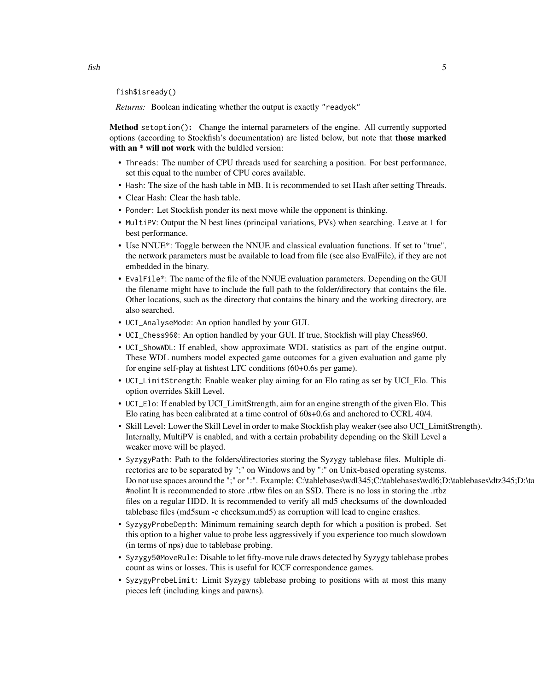fish\$isready()

*Returns:* Boolean indicating whether the output is exactly "readyok"

<span id="page-4-0"></span>Method setoption(): Change the internal parameters of the engine. All currently supported options (according to Stockfish's documentation) are listed below, but note that those marked with an  $*$  will not work with the buldled version:

- Threads: The number of CPU threads used for searching a position. For best performance, set this equal to the number of CPU cores available.
- Hash: The size of the hash table in MB. It is recommended to set Hash after setting Threads.
- Clear Hash: Clear the hash table.
- Ponder: Let Stockfish ponder its next move while the opponent is thinking.
- MultiPV: Output the N best lines (principal variations, PVs) when searching. Leave at 1 for best performance.
- Use NNUE\*: Toggle between the NNUE and classical evaluation functions. If set to "true", the network parameters must be available to load from file (see also EvalFile), if they are not embedded in the binary.
- EvalFile\*: The name of the file of the NNUE evaluation parameters. Depending on the GUI the filename might have to include the full path to the folder/directory that contains the file. Other locations, such as the directory that contains the binary and the working directory, are also searched.
- UCI\_AnalyseMode: An option handled by your GUI.
- UCI\_Chess960: An option handled by your GUI. If true, Stockfish will play Chess960.
- UCI\_ShowWDL: If enabled, show approximate WDL statistics as part of the engine output. These WDL numbers model expected game outcomes for a given evaluation and game ply for engine self-play at fishtest LTC conditions (60+0.6s per game).
- UCI\_LimitStrength: Enable weaker play aiming for an Elo rating as set by UCI\_Elo. This option overrides Skill Level.
- UCI\_Elo: If enabled by UCI\_LimitStrength, aim for an engine strength of the given Elo. This Elo rating has been calibrated at a time control of 60s+0.6s and anchored to CCRL 40/4.
- Skill Level: Lower the Skill Level in order to make Stockfish play weaker (see also UCI\_LimitStrength). Internally, MultiPV is enabled, and with a certain probability depending on the Skill Level a weaker move will be played.
- SyzygyPath: Path to the folders/directories storing the Syzygy tablebase files. Multiple directories are to be separated by ";" on Windows and by ":" on Unix-based operating systems. Do not use spaces around the ";" or ":". Example: C:\tablebases\wdl345;C:\tablebases\wdl6;D:\tablebases\dtz345;D:\ta #nolint It is recommended to store .rtbw files on an SSD. There is no loss in storing the .rtbz files on a regular HDD. It is recommended to verify all md5 checksums of the downloaded tablebase files (md5sum -c checksum.md5) as corruption will lead to engine crashes.
- SyzygyProbeDepth: Minimum remaining search depth for which a position is probed. Set this option to a higher value to probe less aggressively if you experience too much slowdown (in terms of nps) due to tablebase probing.
- Syzygy50MoveRule: Disable to let fifty-move rule draws detected by Syzygy tablebase probes count as wins or losses. This is useful for ICCF correspondence games.
- SyzygyProbeLimit: Limit Syzygy tablebase probing to positions with at most this many pieces left (including kings and pawns).

 $fish$  5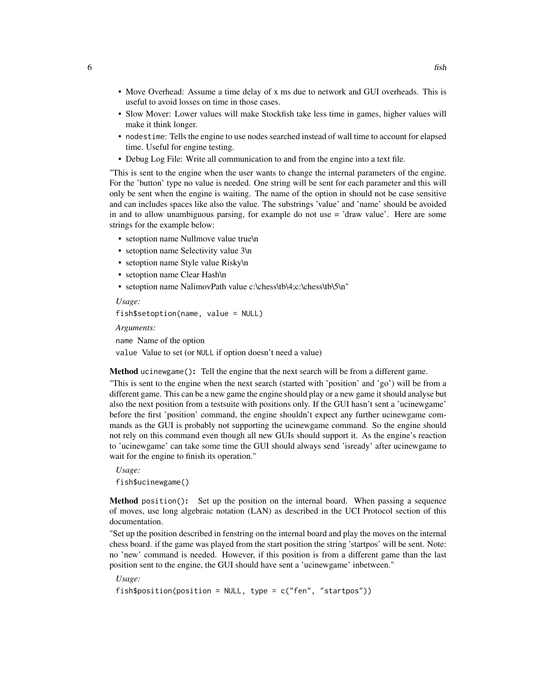- Move Overhead: Assume a time delay of x ms due to network and GUI overheads. This is useful to avoid losses on time in those cases.
- Slow Mover: Lower values will make Stockfish take less time in games, higher values will make it think longer.
- nodestime: Tells the engine to use nodes searched instead of wall time to account for elapsed time. Useful for engine testing.
- Debug Log File: Write all communication to and from the engine into a text file.

"This is sent to the engine when the user wants to change the internal parameters of the engine. For the 'button' type no value is needed. One string will be sent for each parameter and this will only be sent when the engine is waiting. The name of the option in should not be case sensitive and can includes spaces like also the value. The substrings 'value' and 'name' should be avoided in and to allow unambiguous parsing, for example do not use = 'draw value'. Here are some strings for the example below:

- setoption name Nullmove value true\n
- setoption name Selectivity value 3\n
- setoption name Style value Risky\n
- setoption name Clear Hash\n
- setoption name NalimovPath value c:\chess\tb\4;c:\chess\tb\5\n"

*Usage:* fish\$setoption(name, value = NULL)

*Arguments:*

name Name of the option value Value to set (or NULL if option doesn't need a value)

<span id="page-5-0"></span>Method ucinewgame(): Tell the engine that the next search will be from a different game.

"This is sent to the engine when the next search (started with 'position' and 'go') will be from a different game. This can be a new game the engine should play or a new game it should analyse but also the next position from a testsuite with positions only. If the GUI hasn't sent a 'ucinewgame' before the first 'position' command, the engine shouldn't expect any further ucinewgame commands as the GUI is probably not supporting the ucinewgame command. So the engine should not rely on this command even though all new GUIs should support it. As the engine's reaction to 'ucinewgame' can take some time the GUI should always send 'isready' after ucinewgame to wait for the engine to finish its operation."

*Usage:*

fish\$ucinewgame()

<span id="page-5-1"></span>Method position(): Set up the position on the internal board. When passing a sequence of moves, use long algebraic notation (LAN) as described in the UCI Protocol section of this documentation.

"Set up the position described in fenstring on the internal board and play the moves on the internal chess board. if the game was played from the start position the string 'startpos' will be sent. Note: no 'new' command is needed. However, if this position is from a different game than the last position sent to the engine, the GUI should have sent a 'ucinewgame' inbetween."

*Usage:*

```
fish$position(position = NULL, type = c("fen", "startpos"))
```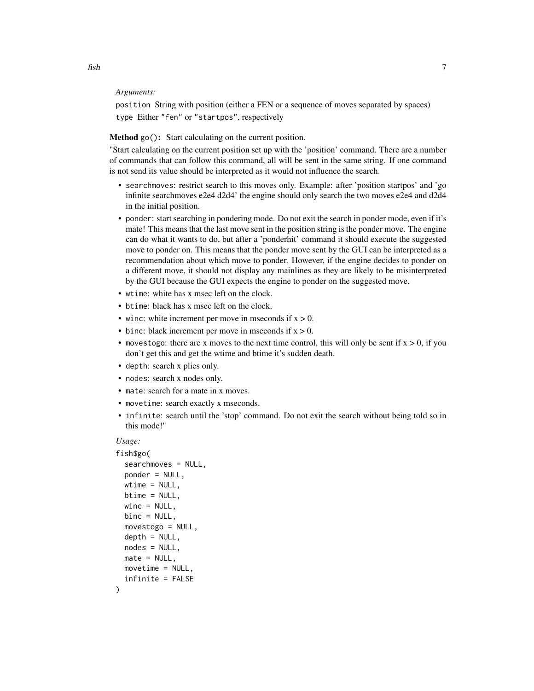#### *Arguments:*

position String with position (either a FEN or a sequence of moves separated by spaces) type Either "fen" or "startpos", respectively

#### <span id="page-6-0"></span>Method go(): Start calculating on the current position.

"Start calculating on the current position set up with the 'position' command. There are a number of commands that can follow this command, all will be sent in the same string. If one command is not send its value should be interpreted as it would not influence the search.

- searchmoves: restrict search to this moves only. Example: after 'position startpos' and 'go infinite searchmoves e2e4 d2d4' the engine should only search the two moves e2e4 and d2d4 in the initial position.
- ponder: start searching in pondering mode. Do not exit the search in ponder mode, even if it's mate! This means that the last move sent in the position string is the ponder move. The engine can do what it wants to do, but after a 'ponderhit' command it should execute the suggested move to ponder on. This means that the ponder move sent by the GUI can be interpreted as a recommendation about which move to ponder. However, if the engine decides to ponder on a different move, it should not display any mainlines as they are likely to be misinterpreted by the GUI because the GUI expects the engine to ponder on the suggested move.
- wtime: white has x msec left on the clock.
- btime: black has x msec left on the clock.
- winc: white increment per move in mseconds if  $x > 0$ .
- binc: black increment per move in mseconds if  $x > 0$ .
- movestogo: there are x moves to the next time control, this will only be sent if  $x > 0$ , if you don't get this and get the wtime and btime it's sudden death.
- depth: search x plies only.
- nodes: search x nodes only.
- mate: search for a mate in x moves.
- movetime: search exactly x mseconds.
- infinite: search until the 'stop' command. Do not exit the search without being told so in this mode!"

#### *Usage:*

```
fish$go(
  searchmoves = NULL,
  ponder = NULL,
 wtime = NULL,
 btime = NULL,
 winc = NULL,binc = NULL,
 movestogo = NULL,
 depth = NULL,nodes = NULL,
 mate = NULL,
 move time = NULL,infinite = FALSE
)
```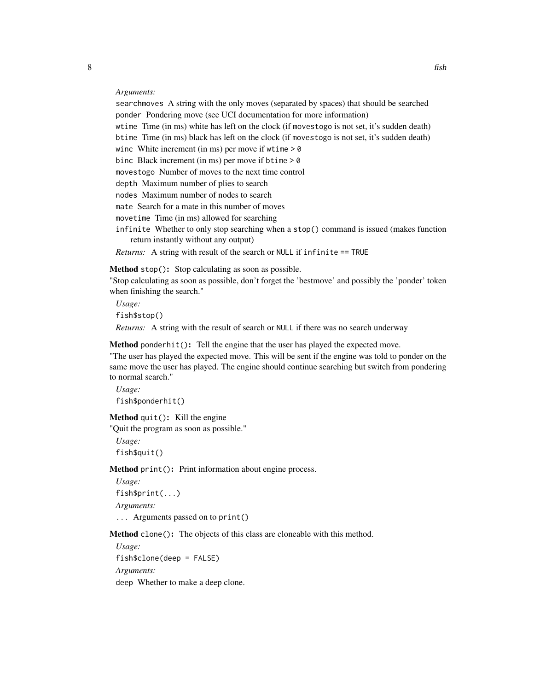*Arguments:*

searchmoves A string with the only moves (separated by spaces) that should be searched ponder Pondering move (see UCI documentation for more information) wtime Time (in ms) white has left on the clock (if movestogo is not set, it's sudden death) btime Time (in ms) black has left on the clock (if movestogo is not set, it's sudden death) winc White increment (in ms) per move if wtime  $> 0$ binc Black increment (in ms) per move if btime > 0 movestogo Number of moves to the next time control depth Maximum number of plies to search nodes Maximum number of nodes to search mate Search for a mate in this number of moves movetime Time (in ms) allowed for searching infinite Whether to only stop searching when a stop() command is issued (makes function return instantly without any output)

*Returns:* A string with result of the search or NULL if infinite == TRUE

<span id="page-7-0"></span>Method stop(): Stop calculating as soon as possible.

"Stop calculating as soon as possible, don't forget the 'bestmove' and possibly the 'ponder' token when finishing the search."

*Usage:* fish\$stop() *Returns:* A string with the result of search or NULL if there was no search underway

<span id="page-7-1"></span>Method ponderhit(): Tell the engine that the user has played the expected move.

"The user has played the expected move. This will be sent if the engine was told to ponder on the same move the user has played. The engine should continue searching but switch from pondering to normal search."

*Usage:* fish\$ponderhit()

<span id="page-7-2"></span>Method quit(): Kill the engine

"Quit the program as soon as possible."

*Usage:* fish\$quit()

<span id="page-7-3"></span>Method print(): Print information about engine process.

*Usage:* fish\$print(...) *Arguments:* ... Arguments passed on to print()

<span id="page-7-4"></span>Method clone(): The objects of this class are cloneable with this method.

*Usage:* fish\$clone(deep = FALSE) *Arguments:*

deep Whether to make a deep clone.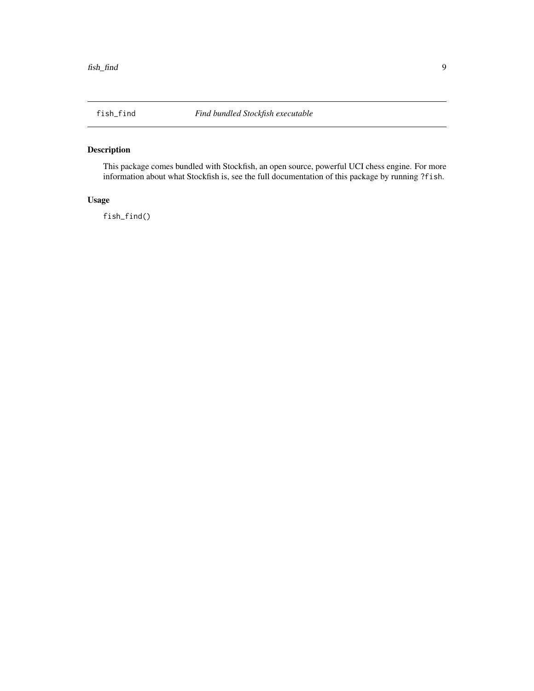#### <span id="page-8-0"></span>Description

This package comes bundled with Stockfish, an open source, powerful UCI chess engine. For more information about what Stockfish is, see the full documentation of this package by running ?fish.

#### Usage

fish\_find()